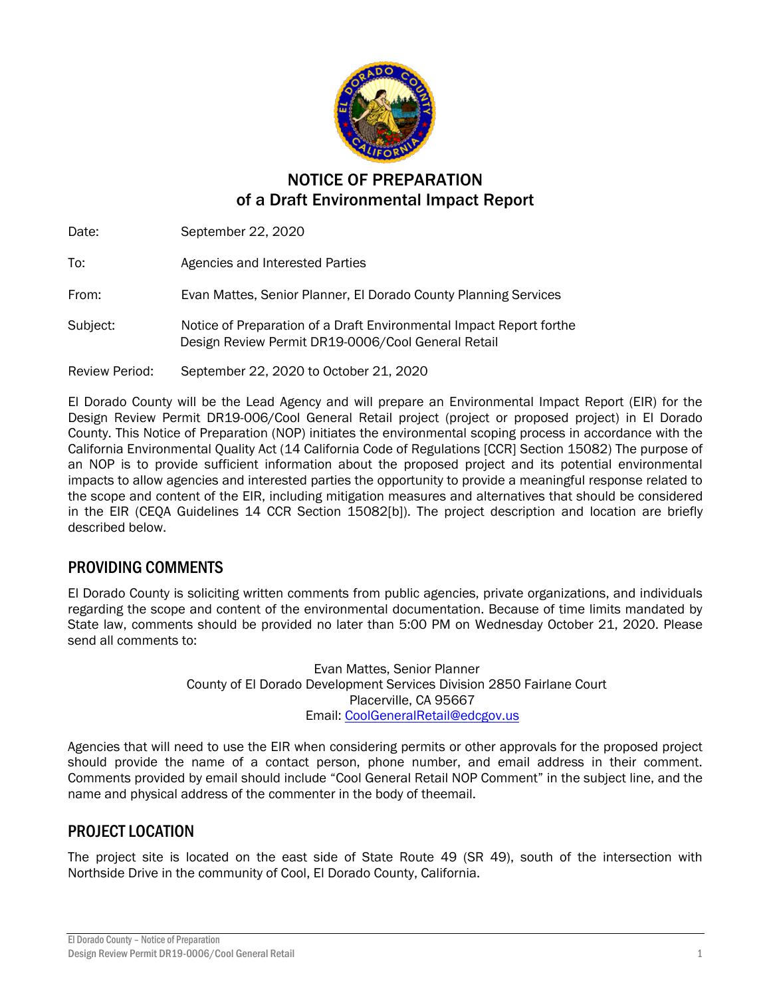

# NOTICE OF PREPARATION of a Draft Environmental Impact Report

Date: September 22, 2020 To: Agencies and Interested Parties From: Evan Mattes, Senior Planner, El Dorado County Planning Services Subject: Notice of Preparation of a Draft Environmental Impact Report forthe Design Review Permit DR19-0006/Cool General Retail Review Period: September 22, 2020 to October 21, 2020

El Dorado County will be the Lead Agency and will prepare an Environmental Impact Report (EIR) for the Design Review Permit DR19-006/Cool General Retail project (project or proposed project) in El Dorado County. This Notice of Preparation (NOP) initiates the environmental scoping process in accordance with the California Environmental Quality Act (14 California Code of Regulations [CCR] Section 15082) The purpose of an NOP is to provide sufficient information about the proposed project and its potential environmental impacts to allow agencies and interested parties the opportunity to provide a meaningful response related to the scope and content of the EIR, including mitigation measures and alternatives that should be considered in the EIR (CEQA Guidelines 14 CCR Section 15082[b]). The project description and location are briefly described below.

## PROVIDING COMMENTS

El Dorado County is soliciting written comments from public agencies, private organizations, and individuals regarding the scope and content of the environmental documentation. Because of time limits mandated by State law, comments should be provided no later than 5:00 PM on Wednesday October 21, 2020. Please send all comments to:

> Evan Mattes, Senior Planner County of El Dorado Development Services Division 2850 Fairlane Court Placerville, CA 95667 Email: [CoolGeneralRetail@edcgov.us](mailto:CoolGeneralRetail@edcgov.us)

Agencies that will need to use the EIR when considering permits or other approvals for the proposed project should provide the name of a contact person, phone number, and email address in their comment. Comments provided by email should include "Cool General Retail NOP Comment" in the subject line, and the name and physical address of the commenter in the body of theemail.

## PROJECT LOCATION

The project site is located on the east side of State Route 49 (SR 49), south of the intersection with Northside Drive in the community of Cool, El Dorado County, California.